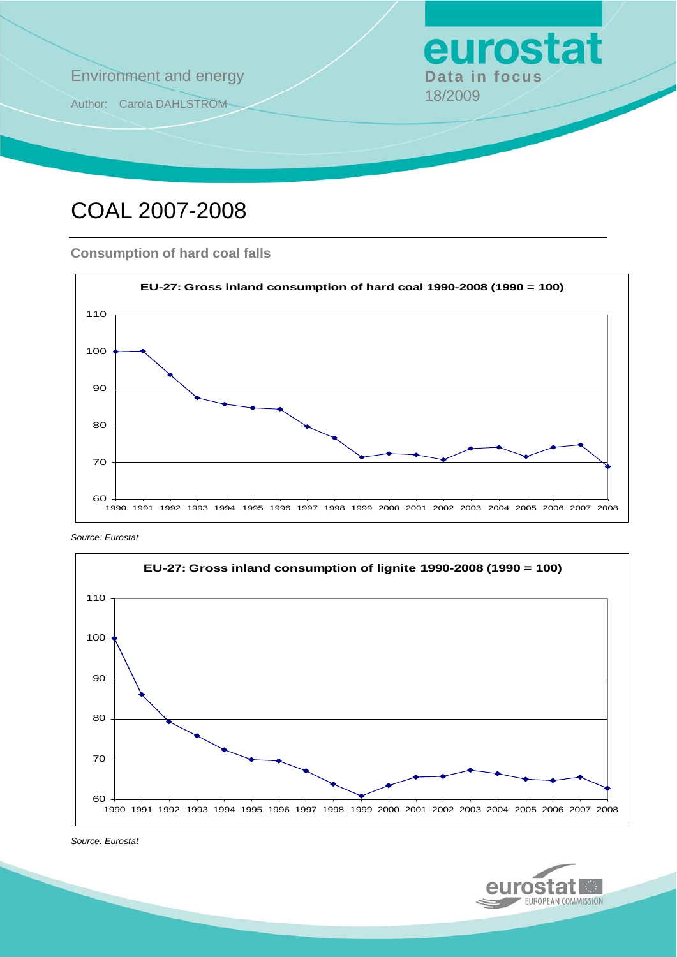

# COAL 2007-2008

#### **Consumption of hard coal falls**



*Source: Eurostat* 



*Source: Eurostat* 

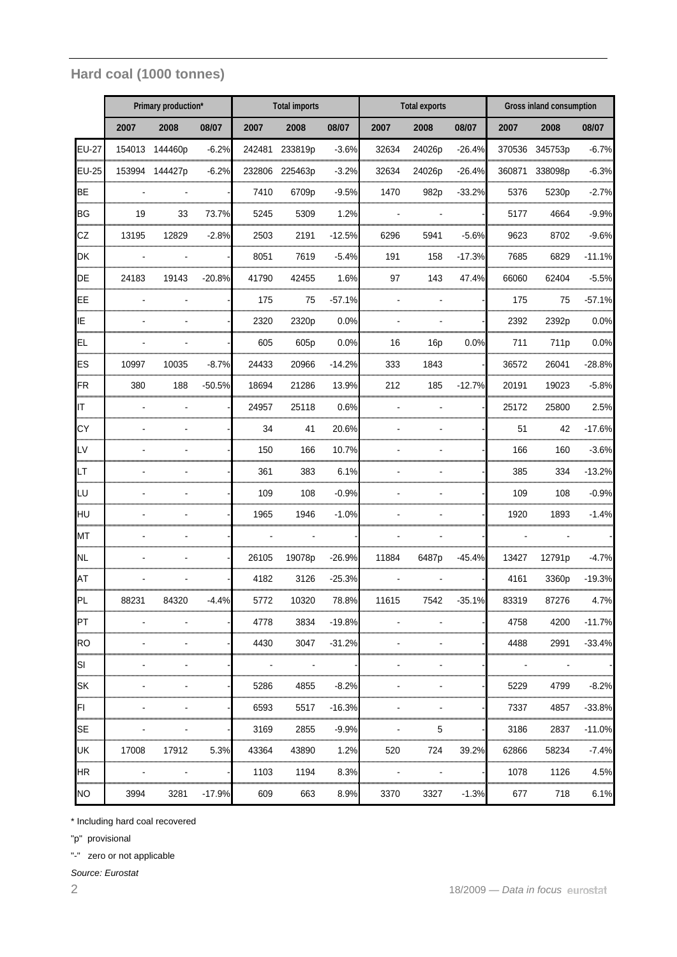### **Hard coal (1000 tonnes)**

|                          | Primary production* |         |          | <b>Total imports</b> |                  |              | <b>Total exports</b> |                  |          | Gross inland consumption |                   |          |
|--------------------------|---------------------|---------|----------|----------------------|------------------|--------------|----------------------|------------------|----------|--------------------------|-------------------|----------|
|                          | 2007                | 2008    | 08/07    | 2007                 | 2008             | 08/07        | 2007                 | 2008             | 08/07    | 2007                     | 2008              | 08/07    |
| <b>EU-27</b>             | 154013              | 144460p | $-6.2%$  | 242481               | 233819p          | $-3.6%$      | 32634                | 24026p           | $-26.4%$ | 370536                   | 345753p           | $-6.7%$  |
| <b>EU-25</b>             | 153994              | 144427p | $-6.2%$  | 232806               | 225463p          | $-3.2%$      | 32634                | 24026p           | $-26.4%$ | 360871                   | 338098p           | $-6.3%$  |
| <b>BE</b>                |                     |         |          | 7410                 | 6709p            | $-9.5%$      | 1470                 | 982 <sub>p</sub> | $-33.2%$ | 5376                     | 5230 <sub>p</sub> | $-2.7%$  |
| <b>BG</b>                | 19                  | 33      | 73.7%    | 5245                 | 5309             | 1.2%         |                      |                  |          | 5177                     | 4664              | $-9.9%$  |
| CZ<br>muni               | 13195               | 12829   | $-2.8%$  | 2503                 | 2191             | $-12.5%$     | 6296                 | 5941             | $-5.6%$  | 9623                     | 8702              | $-9.6%$  |
| <b>DK</b>                |                     |         |          | 8051                 | 7619             | $-5.4%$      | 191                  | 158              | $-17.3%$ | 7685                     | 6829              | $-11.1%$ |
| DE                       | 24183               | 19143   | $-20.8%$ | 41790                | 42455            | 1.6%         | 97                   | 143              | 47.4%    | 66060                    | 62404             | $-5.5%$  |
| EE                       |                     |         |          | 175                  | 75               | $-57.1%$     |                      |                  |          | 175                      | 75                | $-57.1%$ |
| IE                       |                     |         |          | 2320                 | 2320p            | 0.0%         |                      |                  |          | 2392                     | 2392p             | 0.0%     |
| EL                       |                     |         |          | 605                  | 605 <sub>p</sub> | 0.0%         | 16                   | 16p              | 0.0%     | 711                      | 711 <sub>p</sub>  | 0.0%     |
| <b>ES</b>                | 10997               | 10035   | $-8.7%$  | 24433                | 20966            | $-14.2%$     | 333                  | 1843             |          | 36572                    | 26041             | $-28.8%$ |
| FR                       | 380                 | 188     | $-50.5%$ | 18694                | 21286            | 13.9%        | 212                  | 185              | $-12.7%$ | 20191                    | 19023             | $-5.8%$  |
| <b>I</b> IT<br>,,,,,,,,, |                     |         |          | 24957                | 25118            | 0.6%         |                      |                  |          | 25172                    | 25800             | 2.5%     |
| <b>CY</b>                |                     |         |          | 34                   | 41               | 20.6%<br>    |                      |                  |          | 51                       | 42                | $-17.6%$ |
| LV                       |                     |         |          | 150                  | 166              | 10.7%        |                      |                  |          | 166                      | 160               | $-3.6%$  |
| LT                       |                     |         |          | 361                  | 383              | 6.1%         |                      |                  |          | 385                      | 334               | $-13.2%$ |
| LU                       |                     |         |          | 109                  | 108              | $-0.9%$      |                      |                  |          | 109                      | 108               | $-0.9%$  |
| HU                       |                     |         |          | 1965                 | 1946             | $-1.0%$      |                      |                  |          | 1920                     | 1893              | $-1.4%$  |
| <b>MT</b>                |                     |         |          |                      |                  |              |                      |                  |          |                          |                   |          |
| <b>NL</b>                |                     |         |          | 26105                | 19078p           | $-26.9%$     | 11884                | 6487p            | $-45.4%$ | 13427                    | 12791p            | $-4.7%$  |
| AT                       |                     |         |          | 4182                 | 3126             | $-25.3%$     |                      |                  |          | 4161                     | 3360p             | $-19.3%$ |
| <b>I</b> PL              | 88231               | 84320   | 4.4%     | 5772                 | 10320            | 78.8%        | 11615                | 7542             | 35.1%    | 83319                    | 87276             | 4.7%     |
| PT                       |                     |         |          | 4778                 | 3834             | -19.8%       |                      |                  |          | 4758                     | 4200              | -11.7%   |
| <b>RO</b>                |                     |         |          | 4430                 | 3047             | $-31.2%$     |                      |                  |          | 4488                     | 2991              | $-33.4%$ |
| SI                       |                     |         |          |                      |                  |              |                      |                  |          |                          |                   |          |
| <b>SK</b>                |                     |         |          | 5286                 | 4855             | $-8.2%$      |                      |                  |          | 5229                     | 4799              | $-8.2\%$ |
| FI<br>,,,,,,,            |                     |         |          | 6593                 | 5517             | $-16.3%$<br> |                      |                  |          | 7337                     | 4857              | $-33.8%$ |
| <b>SE</b>                |                     |         |          | 3169                 | 2855             | $-9.9%$      |                      | 5                |          | 3186                     | 2837              | $-11.0%$ |
| UK                       | 17008               | 17912   | 5.3%     | 43364                | 43890            | 1.2%         | 520                  | 724              | 39.2%    | 62866                    | 58234             | $-7.4%$  |
| <b>HR</b>                |                     |         |          | 1103                 | 1194             | 8.3%         |                      |                  |          | 1078                     | 1126              | 4.5%     |
| <b>NO</b>                | 3994                | 3281    | $-17.9%$ | 609                  | 663              | 8.9%         | 3370                 | 3327             | $-1.3%$  | 677                      | 718               | 6.1%     |

\* Including hard coal recovered

"p" provisional

"-" zero or not applicable

*Source: Eurostat*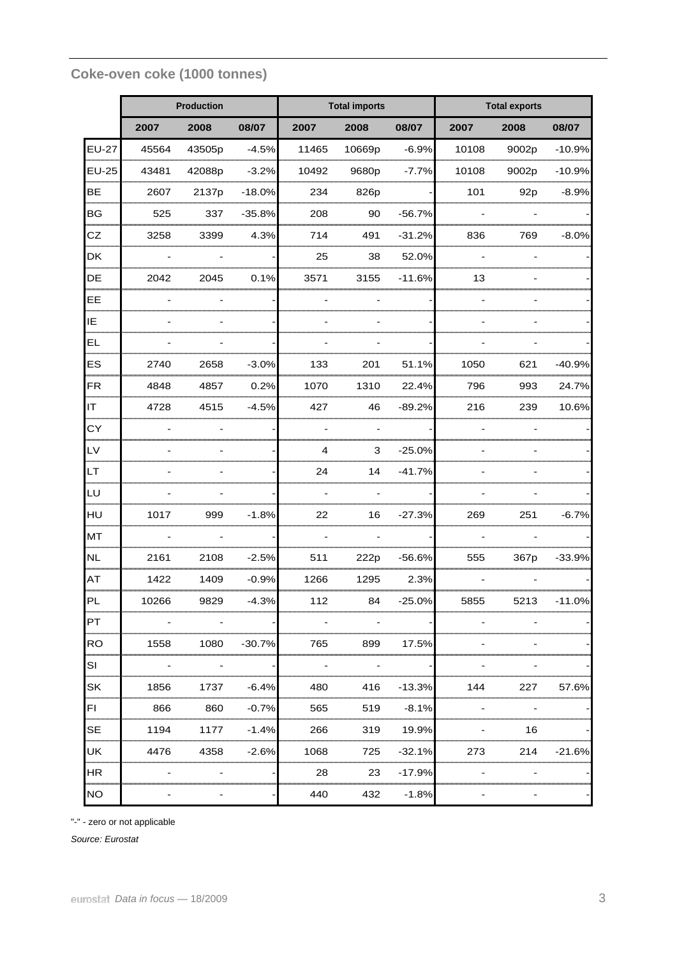## **Coke-oven coke (1000 tonnes)**

|                   |       | Production |          |                | <b>Total imports</b> |          | <b>Total exports</b> |       |          |  |
|-------------------|-------|------------|----------|----------------|----------------------|----------|----------------------|-------|----------|--|
|                   | 2007  | 2008       | 08/07    | 2007           | 2008                 | 08/07    | 2007                 | 2008  | 08/07    |  |
| <b>EU-27</b>      | 45564 | 43505p     | $-4.5%$  | 11465          | 10669p<br>           | $-6.9%$  | 10108                | 9002p | $-10.9%$ |  |
| $EU-25$           | 43481 | 42088p     | $-3.2%$  | 10492          | 9680p                | $-7.7%$  | 10108                | 9002p | $-10.9%$ |  |
| <b>BE</b><br>mmmm | 2607  | 2137p      | $-18.0%$ | 234            | 826p                 |          | 101                  | 92p   | $-8.9%$  |  |
| <b>BG</b>         | 525   | 337        | $-35.8%$ | 208            | 90                   | $-56.7%$ |                      |       |          |  |
| CZ                | 3258  | 3399       | 4.3%     | 714            | 491                  | $-31.2%$ | 836                  | 769   | $-8.0%$  |  |
| DK                |       |            |          | 25             | 38                   | 52.0%    |                      |       |          |  |
| DE                | 2042  | 2045       | 0.1%     | 3571           | 3155                 | $-11.6%$ | 13                   |       |          |  |
| EE<br>            |       |            |          |                |                      |          |                      |       |          |  |
| IE<br>            |       |            |          |                |                      |          |                      |       |          |  |
| EL                |       |            |          |                |                      |          |                      |       |          |  |
| ES<br>            | 2740  | 2658       | $-3.0%$  | 133            | 201                  | 51.1%    | 1050                 | 621   | $-40.9%$ |  |
| <b>FR</b>         | 4848  | 4857       | 0.2%     | 1070           | 1310                 | 22.4%    | 796                  | 993   | 24.7%    |  |
| IT<br>            | 4728  | 4515       | $-4.5%$  | 427            | 46                   | $-89.2%$ | 216                  | 239   | 10.6%    |  |
| CY                |       |            |          |                |                      |          |                      |       |          |  |
| LV                |       |            |          | $\overline{4}$ | 3                    | $-25.0%$ |                      |       |          |  |
| LT                |       |            |          | 24             | 14                   | $-41.7%$ |                      |       |          |  |
| LU                |       |            |          |                |                      |          |                      |       |          |  |
| HU                | 1017  | 999        | $-1.8%$  | 22             | 16                   | $-27.3%$ | 269                  | 251   | $-6.7%$  |  |
| <b>MT</b>         |       |            |          |                |                      |          |                      |       |          |  |
| <b>NL</b>         | 2161  | 2108       | $-2.5%$  | 511            | 222p                 | $-56.6%$ | 555                  | 367p  | $-33.9%$ |  |
| <b>AT</b>         | 1422  | 1409       | $-0.9%$  | 1266           | 1295                 | 2.3%     |                      |       |          |  |
| PL                | 10266 | 9829       | $-4.3%$  | 112            | 84                   | $-25.0%$ | 5855                 | 5213  | $-11.0%$ |  |
| PT                |       |            |          |                |                      |          |                      |       |          |  |
| <b>RO</b>         | 1558  | 1080       | $-30.7%$ | 765            | 899                  | 17.5%    |                      |       |          |  |
| SI                |       |            |          |                |                      |          |                      |       |          |  |
| SK<br>00000       | 1856  | 1737       | $-6.4%$  | 480            | 416                  | $-13.3%$ | 144                  | 227   | 57.6%    |  |
| FI                | 866   | 860        | $-0.7%$  | 565            | 519                  | $-8.1%$  |                      |       |          |  |
| <b>SE</b>         | 1194  | 1177       | $-1.4%$  | 266            | 319                  | 19.9%    |                      | 16    |          |  |
| UK                | 4476  | 4358       | $-2.6%$  | 1068           | 725                  | $-32.1%$ | 273                  | 214   | -21.6%   |  |
| HR                |       |            |          | 28             | 23                   | -17.9%   |                      |       |          |  |
| <b>NO</b>         |       |            |          | 440            | 432                  | $-1.8%$  |                      |       |          |  |

"-" - zero or not applicable

*Source: Eurostat*